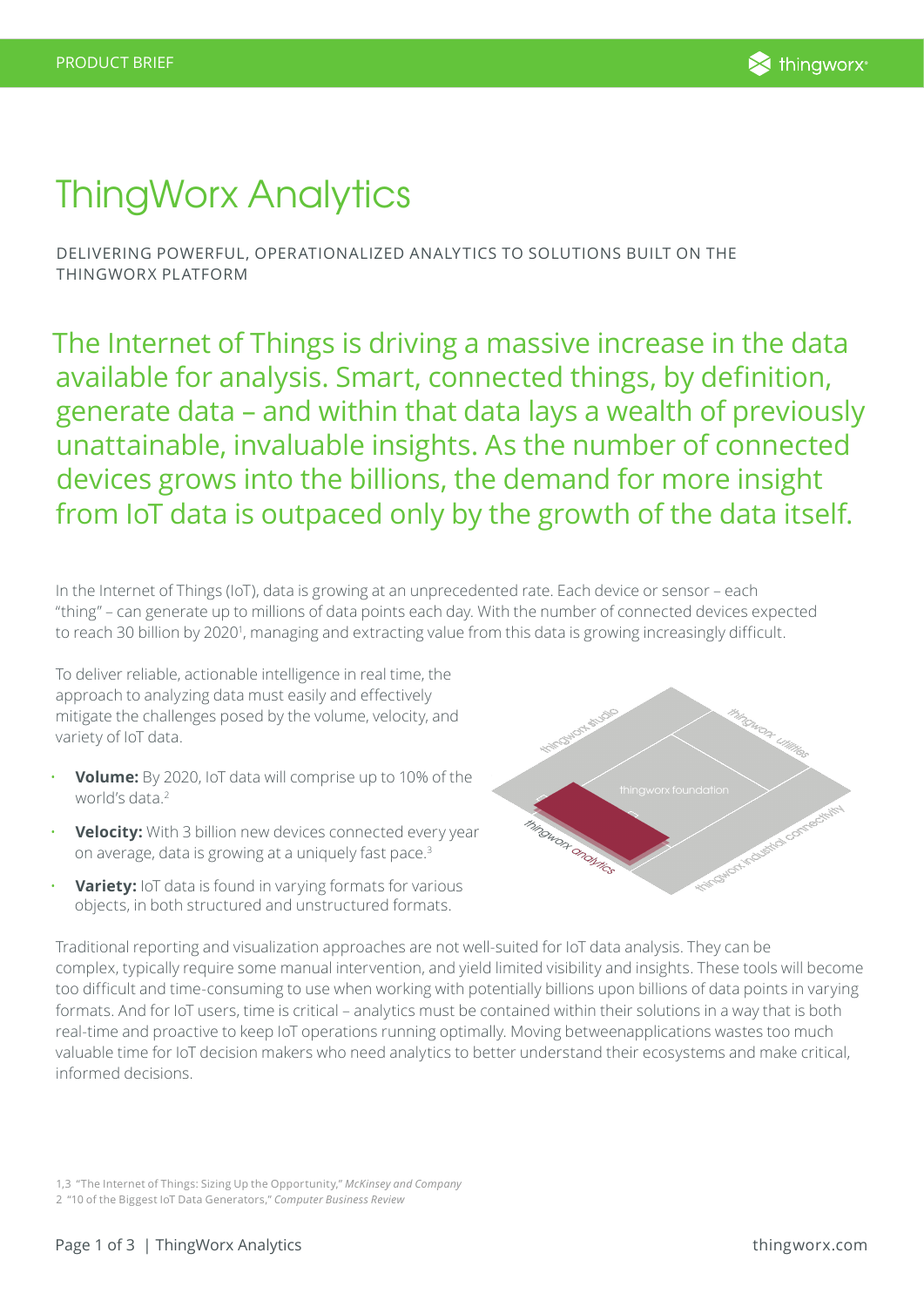

# ThingWorx Analytics

DELIVERING POWERFUL, OPERATIONALIZED ANALYTICS TO SOLUTIONS BUILT ON THE THINGWORX PLATFORM

The Internet of Things is driving a massive increase in the data available for analysis. Smart, connected things, by definition, generate data – and within that data lays a wealth of previously unattainable, invaluable insights. As the number of connected devices grows into the billions, the demand for more insight from IoT data is outpaced only by the growth of the data itself.

In the Internet of Things (IoT), data is growing at an unprecedented rate. Each device or sensor – each "thing" – can generate up to millions of data points each day. With the number of connected devices expected to reach 30 billion by 2020<sup>1</sup>, managing and extracting value from this data is growing increasingly difficult.

To deliver reliable, actionable intelligence in real time, the approach to analyzing data must easily and effectively mitigate the challenges posed by the volume, velocity, and variety of IoT data.

- **Volume:** By 2020, IoT data will comprise up to 10% of the world's data<sup>2</sup>
- **Velocity:** With 3 billion new devices connected every year on average, data is growing at a uniquely fast pace.3
- **Variety:** IoT data is found in varying formats for various objects, in both structured and unstructured formats.



Traditional reporting and visualization approaches are not well-suited for IoT data analysis. They can be complex, typically require some manual intervention, and yield limited visibility and insights. These tools will become too difficult and time-consuming to use when working with potentially billions upon billions of data points in varying formats. And for IoT users, time is critical – analytics must be contained within their solutions in a way that is both real-time and proactive to keep IoT operations running optimally. Moving betweenapplications wastes too much valuable time for IoT decision makers who need analytics to better understand their ecosystems and make critical, informed decisions.

1,3 "The Internet of Things: Sizing Up the Opportunity," *McKinsey and Company* 

2 "10 of the Biggest IoT Data Generators," *Computer Business Review*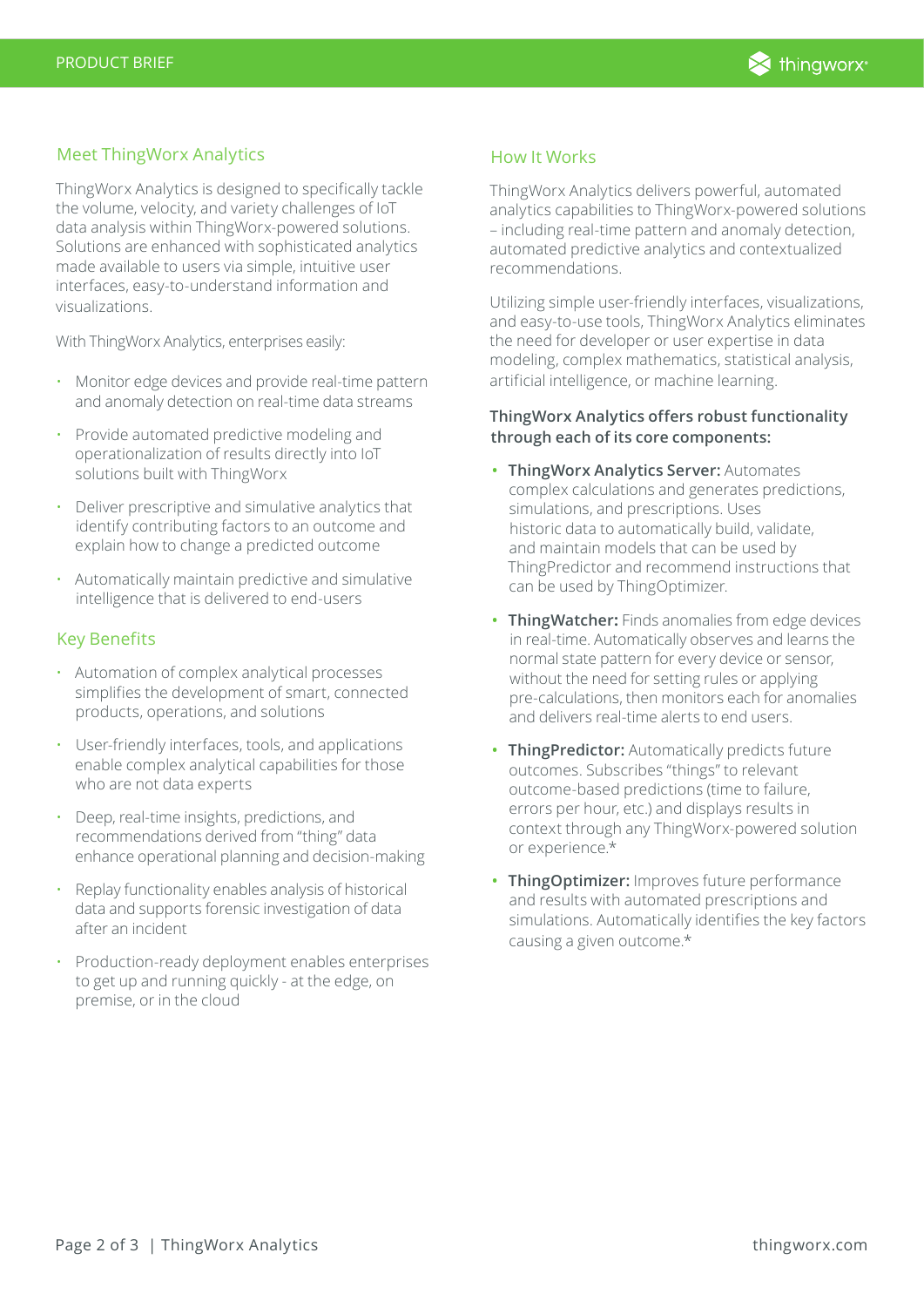

## Meet ThingWorx Analytics

ThingWorx Analytics is designed to specifically tackle the volume, velocity, and variety challenges of IoT data analysis within ThingWorx-powered solutions. Solutions are enhanced with sophisticated analytics made available to users via simple, intuitive user interfaces, easy-to-understand information and visualizations.

With ThingWorx Analytics, enterprises easily:

- Monitor edge devices and provide real-time pattern and anomaly detection on real-time data streams
- Provide automated predictive modeling and operationalization of results directly into IoT solutions built with ThingWorx
- Deliver prescriptive and simulative analytics that identify contributing factors to an outcome and explain how to change a predicted outcome
- Automatically maintain predictive and simulative intelligence that is delivered to end-users

## Key Benefits

- Automation of complex analytical processes simplifies the development of smart, connected products, operations, and solutions
- User-friendly interfaces, tools, and applications enable complex analytical capabilities for those who are not data experts
- Deep, real-time insights, predictions, and recommendations derived from "thing" data enhance operational planning and decision-making
- Replay functionality enables analysis of historical data and supports forensic investigation of data after an incident
- Production-ready deployment enables enterprises to get up and running quickly - at the edge, on premise, or in the cloud

#### How It Works

ThingWorx Analytics delivers powerful, automated analytics capabilities to ThingWorx-powered solutions – including real-time pattern and anomaly detection, automated predictive analytics and contextualized recommendations.

Utilizing simple user-friendly interfaces, visualizations, and easy-to-use tools, ThingWorx Analytics eliminates the need for developer or user expertise in data modeling, complex mathematics, statistical analysis, artificial intelligence, or machine learning.

## **ThingWorx Analytics offers robust functionality through each of its core components:**

- **• ThingWorx Analytics Server:** Automates complex calculations and generates predictions, simulations, and prescriptions. Uses historic data to automatically build, validate, and maintain models that can be used by ThingPredictor and recommend instructions that can be used by ThingOptimizer.
- **• ThingWatcher:** Finds anomalies from edge devices in real-time. Automatically observes and learns the normal state pattern for every device or sensor, without the need for setting rules or applying pre-calculations, then monitors each for anomalies and delivers real-time alerts to end users.
- **• ThingPredictor:** Automatically predicts future outcomes. Subscribes "things" to relevant outcome-based predictions (time to failure, errors per hour, etc.) and displays results in context through any ThingWorx-powered solution or experience.\*
- **• ThingOptimizer:** Improves future performance and results with automated prescriptions and simulations. Automatically identifies the key factors causing a given outcome.\*